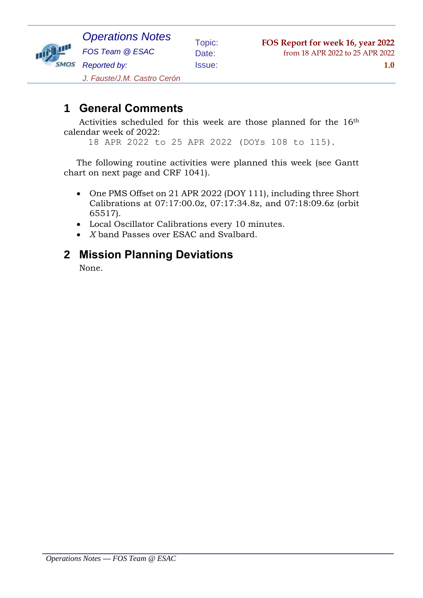

Topic: **FOS Report for week 16, year 2022** Date: from 18 APR 2022 to 25 APR 2022

Issue: **1.0**

*J. Fauste/J.M. Castro Cerón*

## **1 General Comments**

Activities scheduled for this week are those planned for the 16th calendar week of 2022:

18 APR 2022 to 25 APR 2022 (DOYs 108 to 115).

The following routine activities were planned this week (see Gantt chart on next page and CRF 1041).

- One PMS Offset on 21 APR 2022 (DOY 111), including three Short Calibrations at 07:17:00.0z, 07:17:34.8z, and 07:18:09.6z (orbit 65517).
- Local Oscillator Calibrations every 10 minutes.
- *X* band Passes over ESAC and Svalbard.

#### **2 Mission Planning Deviations**

None.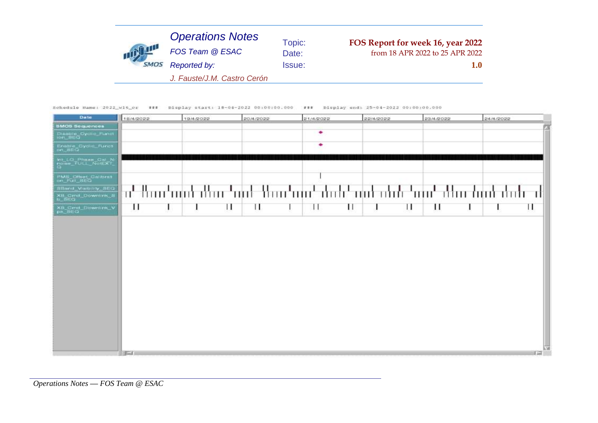Schedule Hame: 2022\_w16\_cr ### bisplay start: 18-04-2022 00:00:00.000 ### bisplay end: 25-04-2022 00:00:00.000

| Date                                              | 18/4/2022 | 19/4/2022 | 20/4/2022 | 21/4/2022 | 22/4/2022 | 23/4/2022 | 24/4/2022                                                                  |
|---------------------------------------------------|-----------|-----------|-----------|-----------|-----------|-----------|----------------------------------------------------------------------------|
| <b>SMOS Sequences</b>                             |           |           |           |           |           |           | z                                                                          |
| Diaable Oydle Fundt<br>lon_SEQ                    |           |           |           | ٠         |           |           |                                                                            |
| Enable_Cyclic_Funct                               |           |           |           | ۰         |           |           |                                                                            |
| <b>Int_LO_Phase_Cal_N:</b><br>Poles_TULL_NotLXT_  |           |           |           |           |           |           |                                                                            |
| PMS_Dffset_Calibrat                               |           |           |           |           |           |           |                                                                            |
| SBand Valbility SEQ<br>XB_Cmd_Downlink_5<br>b_SEQ |           |           |           |           |           |           | ս' Baar'amid dhar 'aird 'Berr'aird dedr' aird abdr 'aird dhar duab dedr al |
| XB_Cmd_Downlink_V<br>ps_SEQ                       | П         | Ш         | ш         | 11        | Ш<br>ш    | П         | п                                                                          |
|                                                   |           |           |           |           |           |           |                                                                            |
|                                                   | $F - 1$   |           |           |           |           |           | ΝЖ<br>11.12                                                                |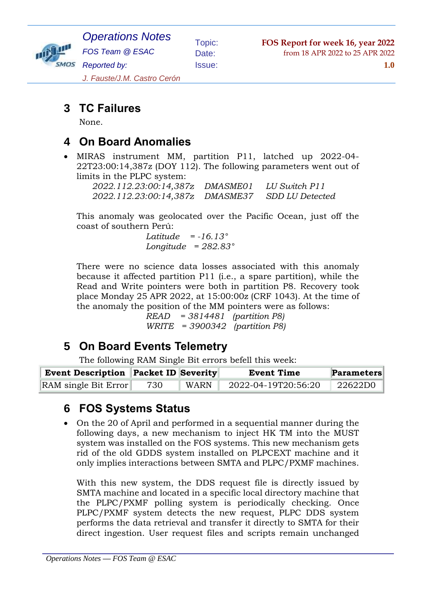

*Operations Notes FOS Team @ ESAC Reported by:*

Issue: **1.0**

*J. Fauste/J.M. Castro Cerón*

## **3 TC Failures**

None.

#### **4 On Board Anomalies**

 MIRAS instrument MM, partition P11, latched up 2022-04- 22T23:00:14,387z (DOY 112). The following parameters went out of limits in the PLPC system:

| 2022.112.23:00:14,387z | <i>DMASME01</i> | LU Switch P11   |
|------------------------|-----------------|-----------------|
| 2022.112.23:00:14,387z | <i>DMASME37</i> | SDD LU Detected |

This anomaly was geolocated over the Pacific Ocean, just off the coast of southern Perú:

> *Latitude = -16.13° Longitude = 282.83°*

There were no science data losses associated with this anomaly because it affected partition P11 (i.e., a spare partition), while the Read and Write pointers were both in partition P8. Recovery took place Monday 25 APR 2022, at 15:00:00z (CRF 1043). At the time of the anomaly the position of the MM pointers were as follows:

> *READ = 3814481 (partition P8) WRITE = 3900342 (partition P8)*

## **5 On Board Events Telemetry**

The following RAM Single Bit errors befell this week:

| <b>Event Description Packet ID Severity</b> |     |      | <b>Event Time</b>   | <b>Parameters</b> |
|---------------------------------------------|-----|------|---------------------|-------------------|
| RAM single Bit Error                        | 730 | WARN | 2022-04-19T20:56:20 | 22622D0           |

## **6 FOS Systems Status**

 On the 20 of April and performed in a sequential manner during the following days, a new mechanism to inject HK TM into the MUST system was installed on the FOS systems. This new mechanism gets rid of the old GDDS system installed on PLPCEXT machine and it only implies interactions between SMTA and PLPC/PXMF machines.

With this new system, the DDS request file is directly issued by SMTA machine and located in a specific local directory machine that the PLPC/PXMF polling system is periodically checking. Once PLPC/PXMF system detects the new request, PLPC DDS system performs the data retrieval and transfer it directly to SMTA for their direct ingestion. User request files and scripts remain unchanged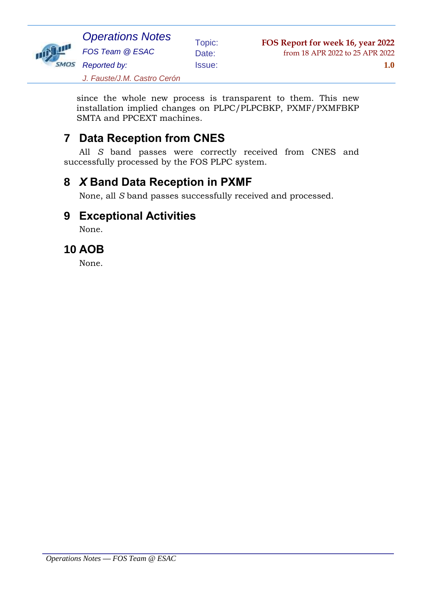

*J. Fauste/J.M. Castro Cerón*

since the whole new process is transparent to them. This new installation implied changes on PLPC/PLPCBKP, PXMF/PXMFBKP SMTA and PPCEXT machines.

## **7 Data Reception from CNES**

All *S* band passes were correctly received from CNES and successfully processed by the FOS PLPC system.

# **8** *X* **Band Data Reception in PXMF**

None, all *S* band passes successfully received and processed.

#### **9 Exceptional Activities**

None.

## **10 AOB**

None.